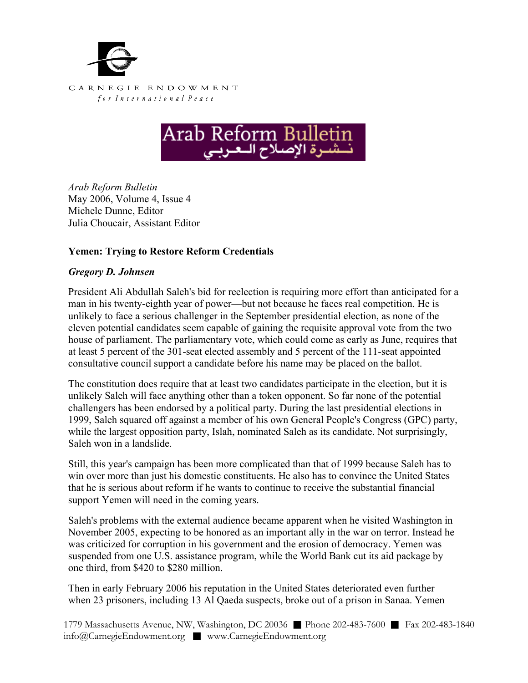



*Arab Reform Bulletin*  May 2006, Volume 4, Issue 4 Michele Dunne, Editor Julia Choucair, Assistant Editor

## **Yemen: Trying to Restore Reform Credentials**

## *Gregory D. Johnsen*

President Ali Abdullah Saleh's bid for reelection is requiring more effort than anticipated for a man in his twenty-eighth year of power—but not because he faces real competition. He is unlikely to face a serious challenger in the September presidential election, as none of the eleven potential candidates seem capable of gaining the requisite approval vote from the two house of parliament. The parliamentary vote, which could come as early as June, requires that at least 5 percent of the 301-seat elected assembly and 5 percent of the 111-seat appointed consultative council support a candidate before his name may be placed on the ballot.

The constitution does require that at least two candidates participate in the election, but it is unlikely Saleh will face anything other than a token opponent. So far none of the potential challengers has been endorsed by a political party. During the last presidential elections in 1999, Saleh squared off against a member of his own General People's Congress (GPC) party, while the largest opposition party, Islah, nominated Saleh as its candidate. Not surprisingly, Saleh won in a landslide.

Still, this year's campaign has been more complicated than that of 1999 because Saleh has to win over more than just his domestic constituents. He also has to convince the United States that he is serious about reform if he wants to continue to receive the substantial financial support Yemen will need in the coming years.

Saleh's problems with the external audience became apparent when he visited Washington in November 2005, expecting to be honored as an important ally in the war on terror. Instead he was criticized for corruption in his government and the erosion of democracy. Yemen was suspended from one U.S. assistance program, while the World Bank cut its aid package by one third, from \$420 to \$280 million.

Then in early February 2006 his reputation in the United States deteriorated even further when 23 prisoners, including 13 Al Qaeda suspects, broke out of a prison in Sanaa. Yemen

1779 Massachusetts Avenue, NW, Washington, DC 20036 ■ Phone 202-483-7600 ■ Fax 202-483-1840 info@CarnegieEndowment.org ■ www.CarnegieEndowment.org